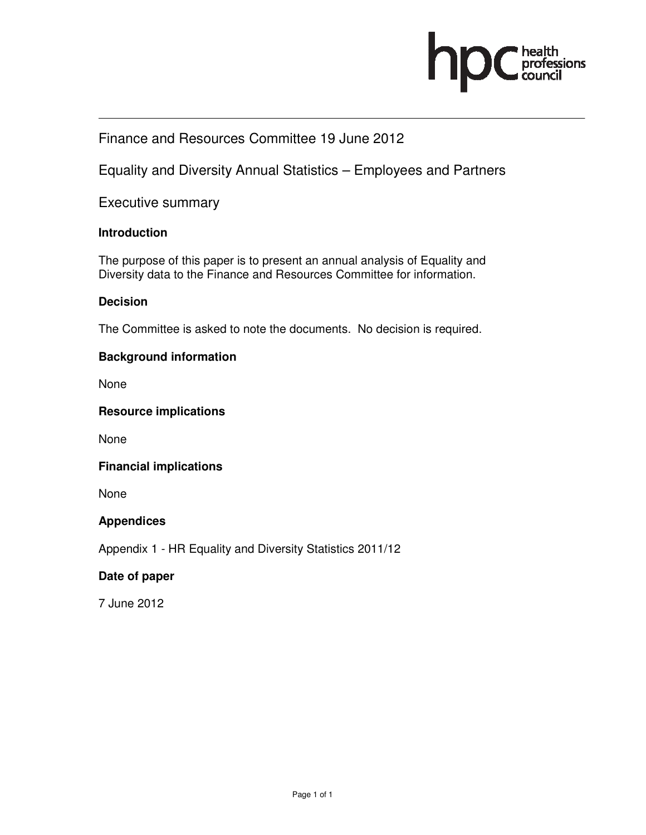

## Finance and Resources Committee 19 June 2012

Equality and Diversity Annual Statistics – Employees and Partners

Executive summary

#### **Introduction**

The purpose of this paper is to present an annual analysis of Equality and Diversity data to the Finance and Resources Committee for information.

#### **Decision**

The Committee is asked to note the documents. No decision is required.

#### **Background information**

None

**Resource implications** 

None

#### **Financial implications**

None

#### **Appendices**

Appendix 1 - HR Equality and Diversity Statistics 2011/12

#### **Date of paper**

7 June 2012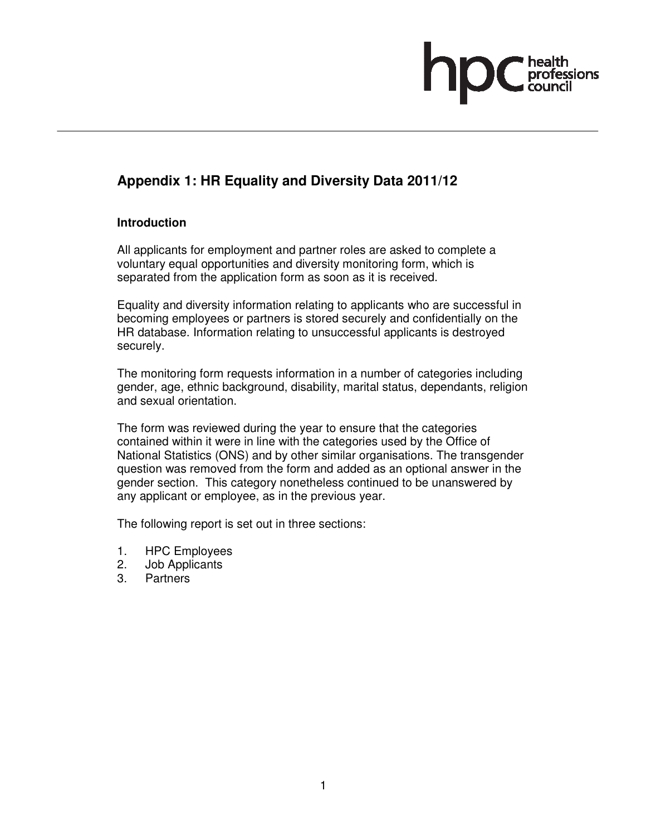# **Appendix 1: HR Equality and Diversity Data 2011/12**

## **Introduction**

All applicants for employment and partner roles are asked to complete a voluntary equal opportunities and diversity monitoring form, which is separated from the application form as soon as it is received.

Equality and diversity information relating to applicants who are successful in becoming employees or partners is stored securely and confidentially on the HR database. Information relating to unsuccessful applicants is destroyed securely.

The monitoring form requests information in a number of categories including gender, age, ethnic background, disability, marital status, dependants, religion and sexual orientation.

The form was reviewed during the year to ensure that the categories contained within it were in line with the categories used by the Office of National Statistics (ONS) and by other similar organisations. The transgender question was removed from the form and added as an optional answer in the gender section. This category nonetheless continued to be unanswered by any applicant or employee, as in the previous year.

The following report is set out in three sections:

- 1. HPC Employees<br>2. Job Applicants
- Job Applicants
- 3. Partners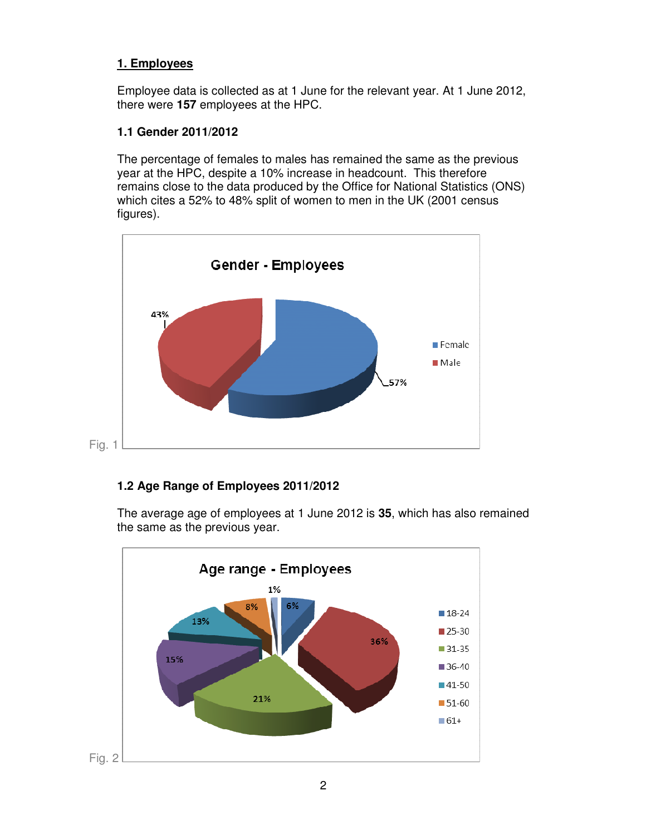## **1. Employees**

Employee data is collected as at 1 June for the relevant year. At 1 June 2012, there were **157** employees at the HPC.

## **1.1 Gender 2011/2012**

The percentage of females to males has remained the same as the previous year at the HPC, despite a 10% increase in headcount. This therefore remains close to the data produced by the Office for National Statistics (ONS) which cites a 52% to 48% split of women to men in the UK (2001 census figures).



## **1.2 Age Range of Employees 2011/2012**

The average age of employees at 1 June 2012 is **35**, which has also remained the same as the previous year.

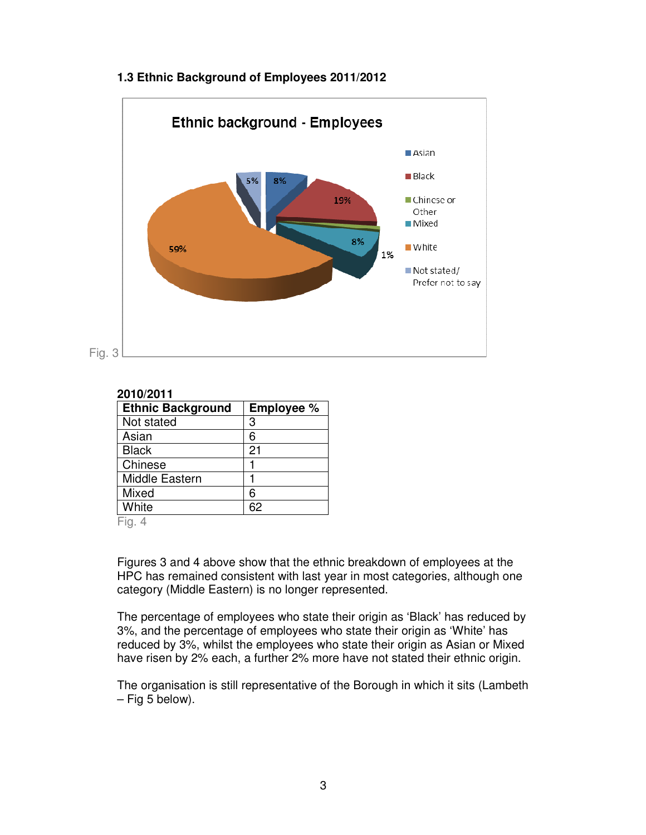

## **1.3 Ethnic Background of Employees 2011/2012**

#### **2010/2011**

| <b>Ethnic Background</b> | <b>Employee %</b> |
|--------------------------|-------------------|
| Not stated               | 3                 |
| Asian                    | 6                 |
| <b>Black</b>             | 21                |
| Chinese                  |                   |
| Middle Eastern           |                   |
| Mixed                    | 6                 |
| White                    | 62                |

Fig. 4

Figures 3 and 4 above show that the ethnic breakdown of employees at the HPC has remained consistent with last year in most categories, although one category (Middle Eastern) is no longer represented.

The percentage of employees who state their origin as 'Black' has reduced by 3%, and the percentage of employees who state their origin as 'White' has reduced by 3%, whilst the employees who state their origin as Asian or Mixed have risen by 2% each, a further 2% more have not stated their ethnic origin.

The organisation is still representative of the Borough in which it sits (Lambeth – Fig 5 below).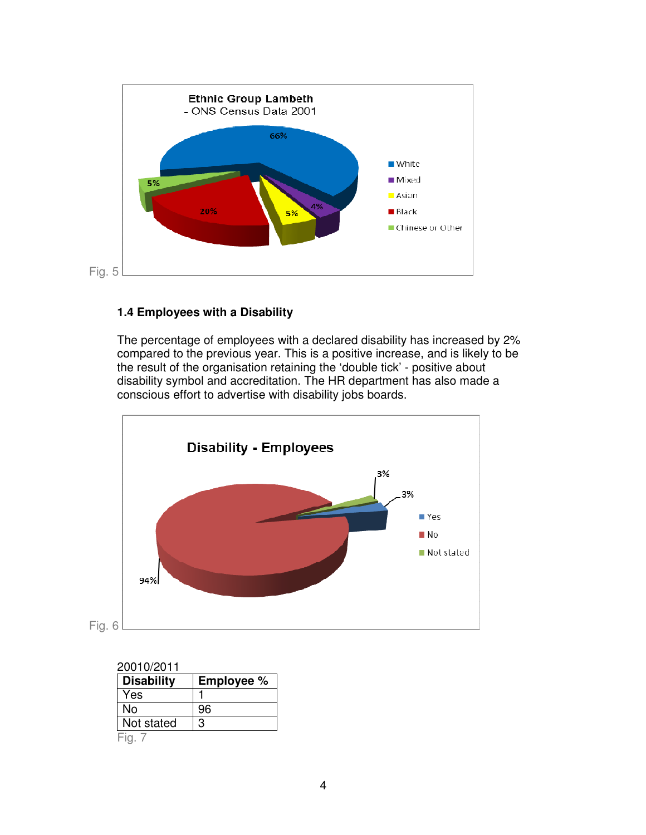

## **1.4 Employees with a Disability**

The percentage of employees with a declared disability has increased by 2% compared to the previous year. This is a positive increase, and is likely to be the result of the organisation retaining the 'double tick' - positive about disability symbol and accreditation. The HR department has also made a conscious effort to advertise with disability jobs boards.



| 20010/2011 |
|------------|
|            |

| <b>Disability</b> | <b>Employee %</b> |
|-------------------|-------------------|
| Yes               |                   |
| N٥                | 96                |
| Not stated        | 3                 |
| Fig               |                   |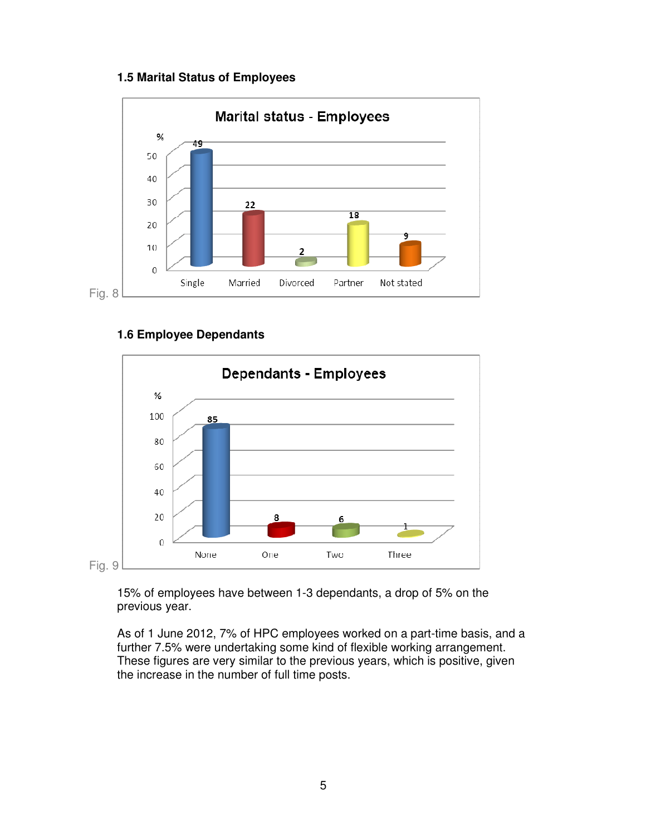## **1.5 Marital Status of Employees**



## **1.6 Employee Dependants**



15% of employees have between 1-3 dependants, a drop of 5% on the previous year.

As of 1 June 2012, 7% of HPC employees worked on a part-time basis, and a further 7.5% were undertaking some kind of flexible working arrangement. These figures are very similar to the previous years, which is positive, given the increase in the number of full time posts.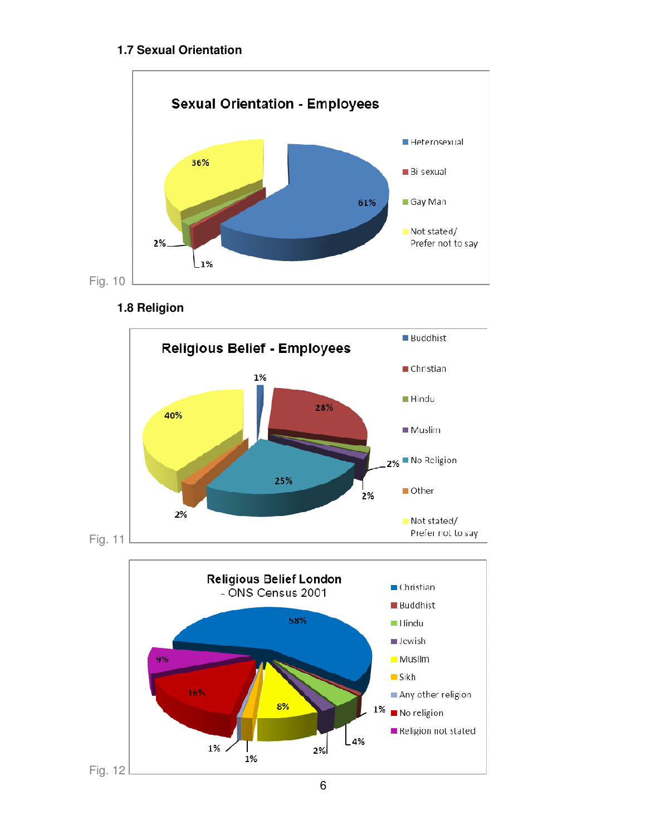## **1.7 Sexual Orientation**







Fig. 12

 $1%$ 

1%

 $2%$ 

4%

Religion not stated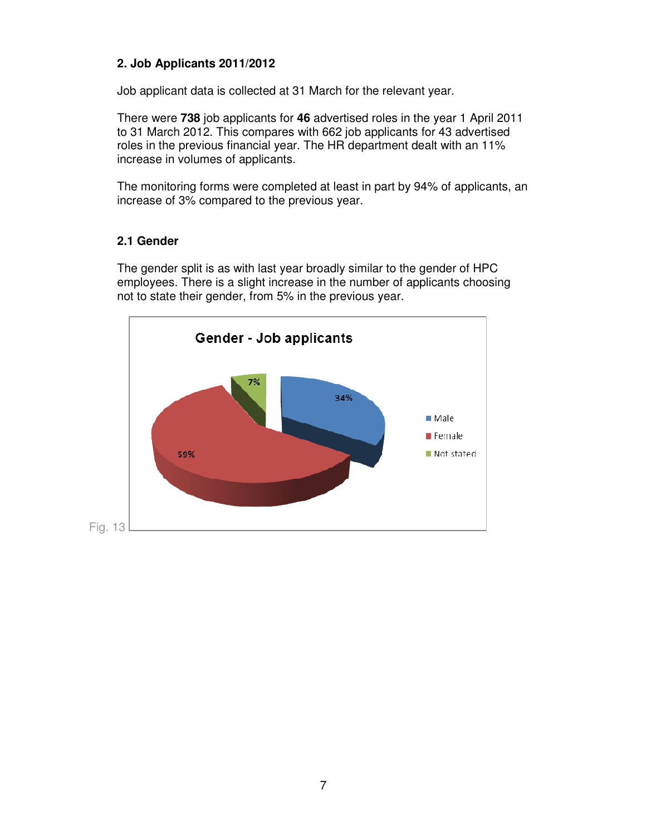## **2. Job Applicants 2011/2012**

Job applicant data is collected at 31 March for the relevant year.

There were **738** job applicants for **46** advertised roles in the year 1 April 2011 to 31 March 2012. This compares with 662 job applicants for 43 advertised roles in the previous financial year. The HR department dealt with an 11% increase in volumes of applicants.

The monitoring forms were completed at least in part by 94% of applicants, an increase of 3% compared to the previous year.

## **2.1 Gender**

The gender split is as with last year broadly similar to the gender of HPC employees. There is a slight increase in the number of applicants choosing not to state their gender, from 5% in the previous year.

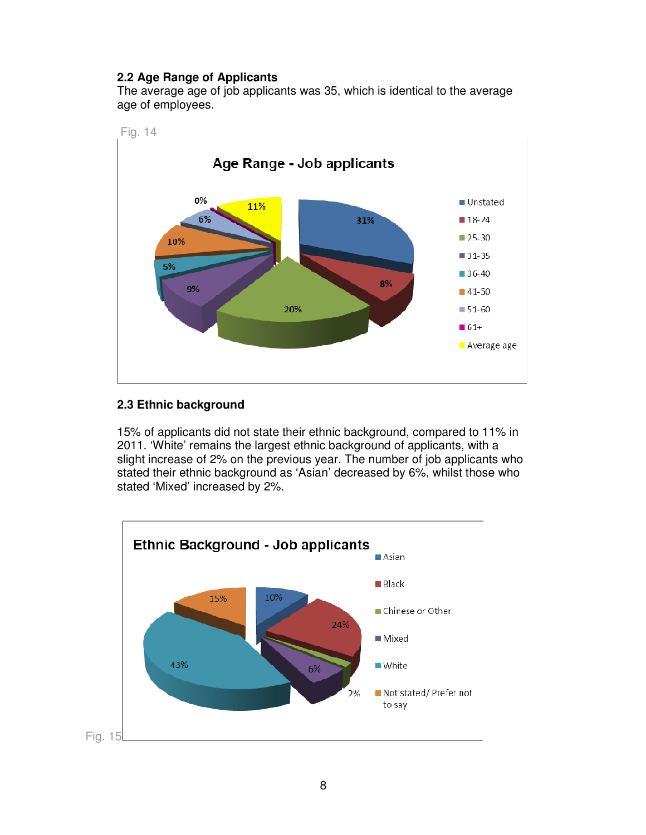#### **2.2 Age Range of Applicants**

The average age of job applicants was 35, which is identical to the average age of employees.



#### **2.3 Ethnic background**

15% of applicants did not state their ethnic background, compared to 11% in 2011. 'White' remains the largest ethnic background of applicants, with a slight increase of 2% on the previous year. The number of job applicants who stated their ethnic background as 'Asian' decreased by 6%, whilst those who stated 'Mixed' increased by 2%.

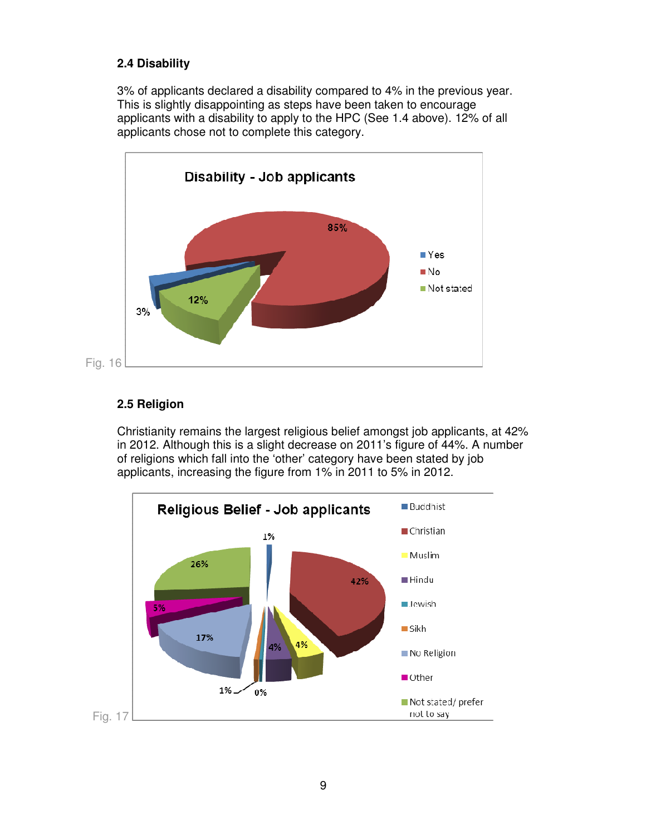## **2.4 Disability**

3% of applicants declared a disability compared to 4% in the previous year. This is slightly disappointing as steps have been taken to encourage applicants with a disability to apply to the HPC (See 1.4 above). 12% of all applicants chose not to complete this category.



## **2.5 Religion**

Christianity remains the largest religious belief amongst job applicants, at 42% in 2012. Although this is a slight decrease on 2011's figure of 44%. A number of religions which fall into the 'other' category have been stated by job applicants, increasing the figure from 1% in 2011 to 5% in 2012.

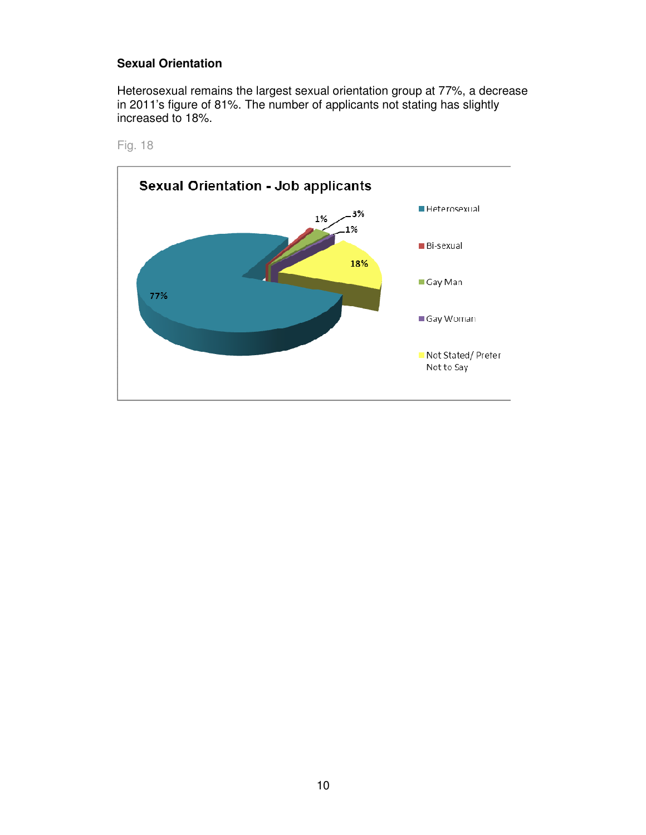## **Sexual Orientation**

Heterosexual remains the largest sexual orientation group at 77%, a decrease in 2011's figure of 81%. The number of applicants not stating has slightly increased to 18%.





10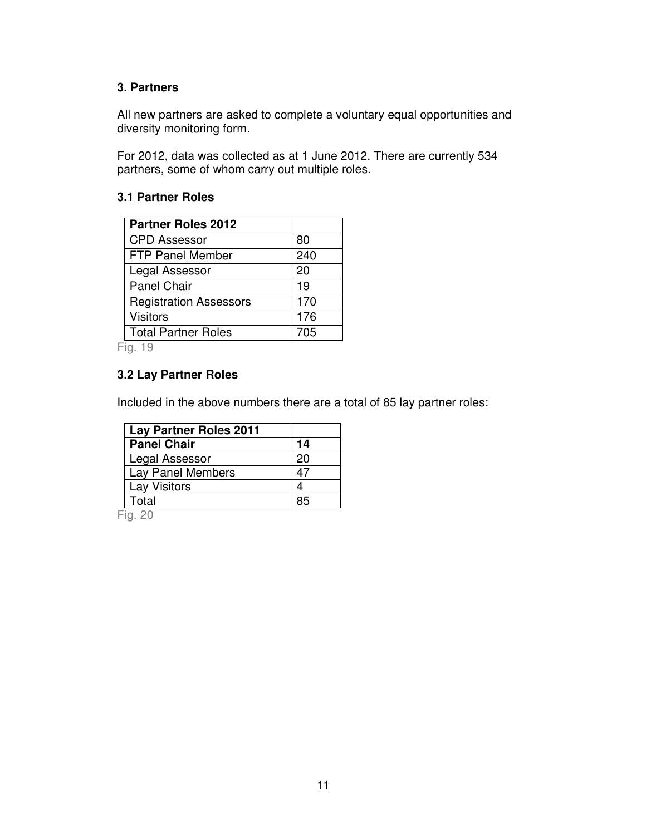## **3. Partners**

All new partners are asked to complete a voluntary equal opportunities and diversity monitoring form.

For 2012, data was collected as at 1 June 2012. There are currently 534 partners, some of whom carry out multiple roles.

## **3.1 Partner Roles**

| <b>Partner Roles 2012</b>     |     |
|-------------------------------|-----|
| <b>CPD Assessor</b>           | 80  |
| <b>FTP Panel Member</b>       | 240 |
| Legal Assessor                | 20  |
| <b>Panel Chair</b>            | 19  |
| <b>Registration Assessors</b> | 170 |
| <b>Visitors</b>               | 176 |
| <b>Total Partner Roles</b>    | 705 |

Fig. 19

## **3.2 Lay Partner Roles**

Included in the above numbers there are a total of 85 lay partner roles:

| <b>Lay Partner Roles 2011</b> |    |
|-------------------------------|----|
| <b>Panel Chair</b>            | 14 |
| Legal Assessor                | 20 |
| Lay Panel Members             | 47 |
| Lay Visitors                  |    |
| Total                         | RБ |

Fig. 20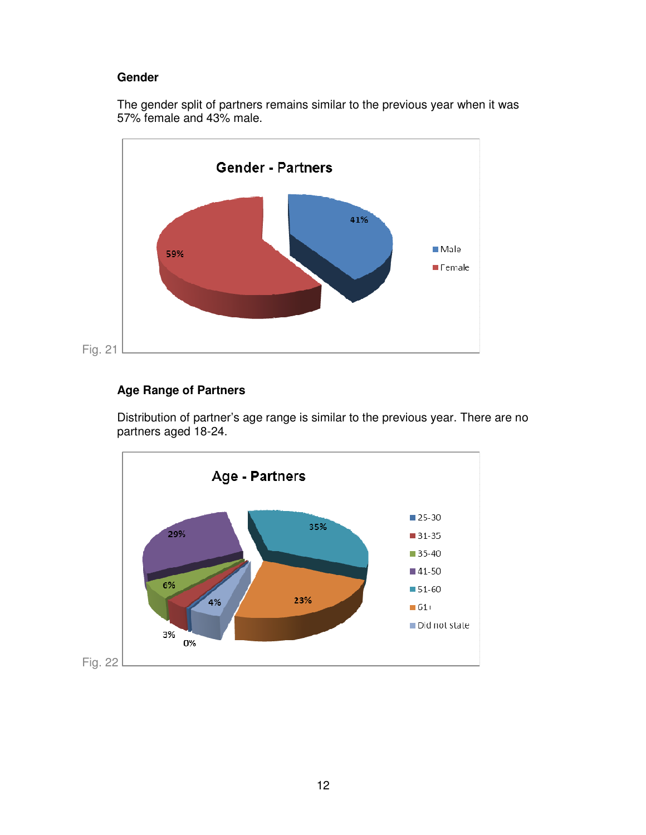## **Gender**

The gender split of partners remains similar to the previous year when it was 57% female and 43% male.



## **Age Range of Partners**

Distribution of partner's age range is similar to the previous year. There are no partners aged 18-24.

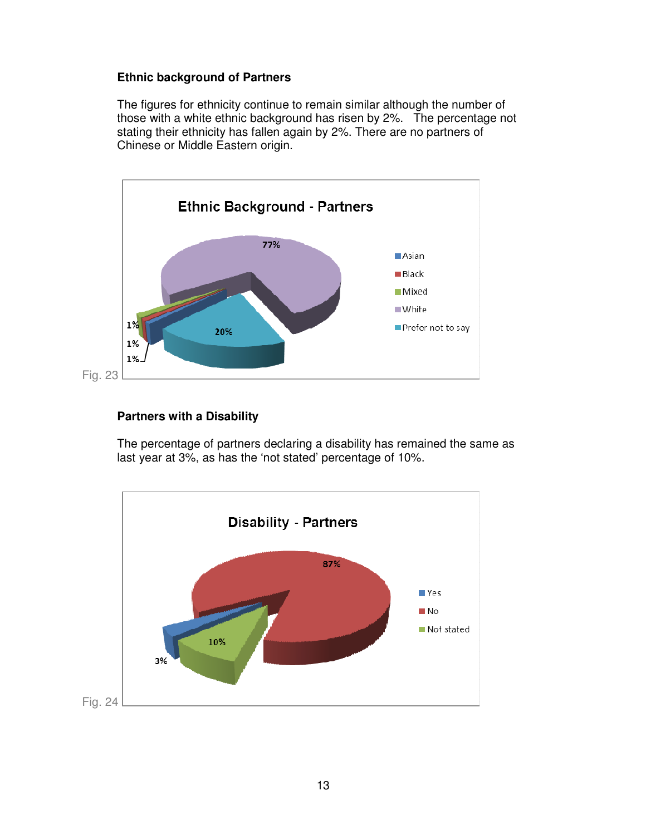#### **Ethnic background of Partners**

The figures for ethnicity continue to remain similar although the number of those with a white ethnic background has risen by 2%. The percentage not stating their ethnicity has fallen again by 2%. There are no partners of Chinese or Middle Eastern origin.



#### **Partners with a Disability**

The percentage of partners declaring a disability has remained the same as last year at 3%, as has the 'not stated' percentage of 10%.